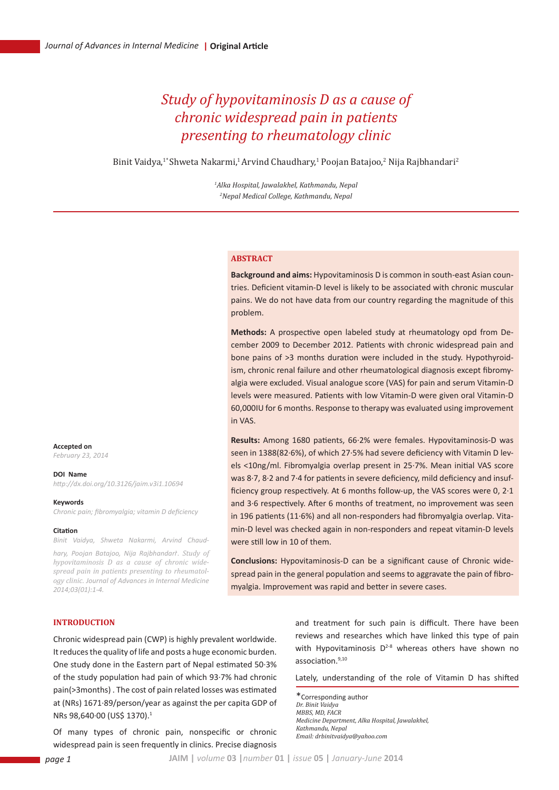# *Study of hypovitaminosis D as a cause of chronic widespread pain in patients presenting to rheumatology clinic*

Binit Vaidya, $1^\ast$ Shweta Nakarmi, $^1$ Arvind Chaudhary, $^1$  Poojan Batajoo, $^2$  Nija Rajbhandari $^2$ 

*1 Alka Hospital, Jawalakhel, Kathmandu, Nepal 2 Nepal Medical College, Kathmandu, Nepal*

#### **Abstract**

**Background and aims:** Hypovitaminosis D is common in south-east Asian countries. Deficient vitamin-D level is likely to be associated with chronic muscular pains. We do not have data from our country regarding the magnitude of this problem.

**Methods:** A prospective open labeled study at rheumatology opd from December 2009 to December 2012. Patients with chronic widespread pain and bone pains of >3 months duration were included in the study. Hypothyroidism, chronic renal failure and other rheumatological diagnosis except fibromyalgia were excluded. Visual analogue score (VAS) for pain and serum Vitamin-D levels were measured. Patients with low Vitamin-D were given oral Vitamin-D 60,000IU for 6 months. Response to therapy was evaluated using improvement in VAS.

**Results:** Among 1680 patients, 66∙2% were females. Hypovitaminosis-D was seen in 1388(82∙6%), of which 27∙5% had severe deficiency with Vitamin D levels <10ng/ml. Fibromyalgia overlap present in 25∙7%. Mean initial VAS score was 8∙7, 8∙2 and 7∙4 for patients in severe deficiency, mild deficiency and insufficiency group respectively. At 6 months follow-up, the VAS scores were 0, 2∙1 and 3∙6 respectively. After 6 months of treatment, no improvement was seen in 196 patients (11∙6%) and all non-responders had fibromyalgia overlap. Vitamin-D level was checked again in non-responders and repeat vitamin-D levels were still low in 10 of them.

**Conclusions:** Hypovitaminosis-D can be a significant cause of Chronic widespread pain in the general population and seems to aggravate the pain of fibromyalgia. Improvement was rapid and better in severe cases.

### **Introduction**

Chronic widespread pain (CWP) is highly prevalent worldwide. It reduces the quality of life and posts a huge economic burden. One study done in the Eastern part of Nepal estimated 50∙3% of the study population had pain of which 93∙7% had chronic pain(>3months) . The cost of pain related losses was estimated at (NRs) 1671∙89/person/year as against the per capita GDP of NRs 98,640∙00 (US\$ 1370).1

Of many types of chronic pain, nonspecific or chronic widespread pain is seen frequently in clinics. Precise diagnosis

and treatment for such pain is difficult. There have been reviews and researches which have linked this type of pain with Hypovitaminosis  $D^{2-8}$  whereas others have shown no association.9,10

Lately, understanding of the role of Vitamin D has shifted

\*Corresponding author *Dr. Binit Vaidya MBBS, MD, FACR Medicine Department, Alka Hospital, Jawalakhel, Kathmandu, Nepal Email: drbinitvaidya@yahoo.com*

**Accepted on** *February 23, 2014*

#### **DOI Name**

*http://dx.doi.org/10.3126/jaim.v3i1.10694*

#### **Keywords**

*Chronic pain; fibromyalgia; vitamin D deficiency*

#### **Citation**

*Binit Vaidya, Shweta Nakarmi, Arvind Chaud-*

*hary, Poojan Batajoo, Nija Rajbhandari*. *. Study of hypovitaminosis D as a cause of chronic widespread pain in patients presenting to rheumatology clinic. Journal of Advances in Internal Medicine 2014;03(01):1-4.*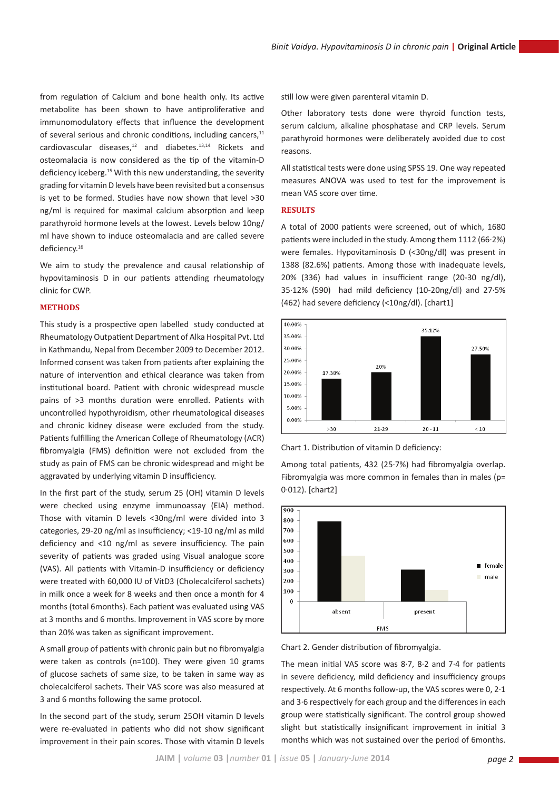from regulation of Calcium and bone health only. Its active metabolite has been shown to have antiproliferative and immunomodulatory effects that influence the development of several serious and chronic conditions, including cancers,<sup>11</sup> cardiovascular diseases,12 and diabetes.13,14 Rickets and osteomalacia is now considered as the tip of the vitamin-D deficiency iceberg.15 With this new understanding, the severity grading for vitamin D levels have been revisited but a consensus is yet to be formed. Studies have now shown that level >30 ng/ml is required for maximal calcium absorption and keep parathyroid hormone levels at the lowest. Levels below 10ng/ ml have shown to induce osteomalacia and are called severe deficiency.16

We aim to study the prevalence and causal relationship of hypovitaminosis D in our patients attending rheumatology clinic for CWP.

# **METHODS**

This study is a prospective open labelled study conducted at Rheumatology Outpatient Department of Alka Hospital Pvt. Ltd in Kathmandu, Nepal from December 2009 to December 2012. Informed consent was taken from patients after explaining the nature of intervention and ethical clearance was taken from institutional board. Patient with chronic widespread muscle pains of >3 months duration were enrolled. Patients with uncontrolled hypothyroidism, other rheumatological diseases and chronic kidney disease were excluded from the study. Patients fulfilling the American College of Rheumatology (ACR) fibromyalgia (FMS) definition were not excluded from the study as pain of FMS can be chronic widespread and might be aggravated by underlying vitamin D insufficiency.

In the first part of the study, serum 25 (OH) vitamin D levels were checked using enzyme immunoassay (EIA) method. Those with vitamin D levels <30ng/ml were divided into 3 categories, 29-20 ng/ml as insufficiency; <19-10 ng/ml as mild deficiency and <10 ng/ml as severe insufficiency. The pain severity of patients was graded using Visual analogue score (VAS). All patients with Vitamin-D insufficiency or deficiency were treated with 60,000 IU of VitD3 (Cholecalciferol sachets) in milk once a week for 8 weeks and then once a month for 4 months (total 6months). Each patient was evaluated using VAS at 3 months and 6 months. Improvement in VAS score by more than 20% was taken as significant improvement.

A small group of patients with chronic pain but no fibromyalgia were taken as controls (n=100). They were given 10 grams of glucose sachets of same size, to be taken in same way as cholecalciferol sachets. Their VAS score was also measured at 3 and 6 months following the same protocol.

In the second part of the study, serum 25OH vitamin D levels were re-evaluated in patients who did not show significant improvement in their pain scores. Those with vitamin D levels still low were given parenteral vitamin D.

Other laboratory tests done were thyroid function tests, serum calcium, alkaline phosphatase and CRP levels. Serum parathyroid hormones were deliberately avoided due to cost reasons.

All statistical tests were done using SPSS 19. One way repeated measures ANOVA was used to test for the improvement is mean VAS score over time.

## **RESULTS**

A total of 2000 patients were screened, out of which, 1680 patients were included in the study. Among them 1112 (66∙2%) were females. Hypovitaminosis D (<30ng/dl) was present in 1388 (82.6%) patients. Among those with inadequate levels, 20% (336) had values in insufficient range (20-30 ng/dl), 35∙12% (590) had mild deficiency (10-20ng/dl) and 27∙5% (462) had severe deficiency (<10ng/dl). [chart1]



Chart 1. Distribution of vitamin D deficiency:

Among total patients, 432 (25∙7%) had fibromyalgia overlap. Fibromyalgia was more common in females than in males (p= 0∙012). [chart2]





The mean initial VAS score was 8∙7, 8∙2 and 7∙4 for patients in severe deficiency, mild deficiency and insufficiency groups respectively. At 6 months follow-up, the VAS scores were 0, 2∙1 and 3∙6 respectively for each group and the differences in each group were statistically significant. The control group showed slight but statistically insignificant improvement in initial 3 months which was not sustained over the period of 6months.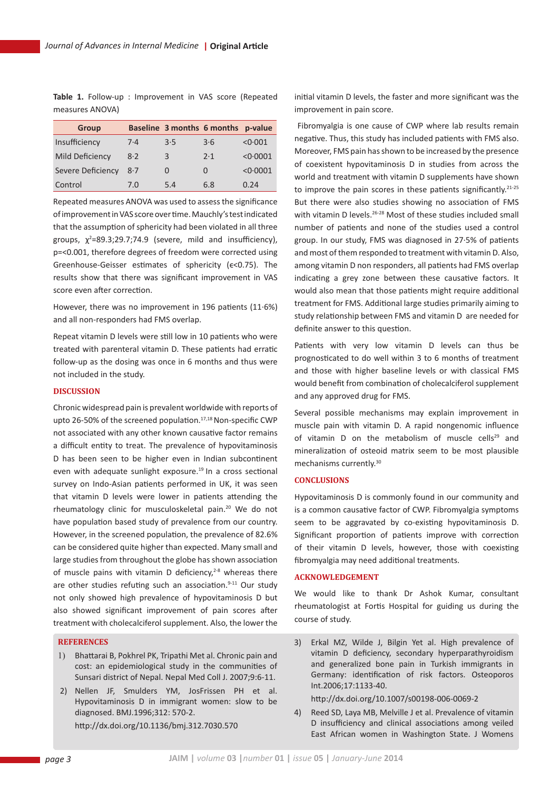**Table 1.** Follow-up : Improvement in VAS score (Repeated measures ANOVA)

| <b>Group</b>      |       |     | Baseline 3 months 6 months p-value |          |
|-------------------|-------|-----|------------------------------------|----------|
| Insufficiency     | $7-4$ | 3.5 | 3·6                                | < 0.001  |
| Mild Deficiency   | 8.2   | 3   | 2.1                                | < 0.0001 |
| Severe Deficiency | 8.7   | 0   | $\Omega$                           | < 0.0001 |
| Control           | 7.0   | 5.4 | 6.8                                | 0.24     |

Repeated measures ANOVA was used to assess the significance of improvement in VAS score over time. Mauchly's test indicated that the assumption of sphericity had been violated in all three groups,  $\chi^2$ =89.3;29.7;74.9 (severe, mild and insufficiency), p=<0.001, therefore degrees of freedom were corrected using Greenhouse-Geisser estimates of sphericity (ϵ<0.75). The results show that there was significant improvement in VAS score even after correction.

However, there was no improvement in 196 patients (11∙6%) and all non-responders had FMS overlap.

Repeat vitamin D levels were still low in 10 patients who were treated with parenteral vitamin D. These patients had erratic follow-up as the dosing was once in 6 months and thus were not included in the study.

# **DISCUSSION**

Chronic widespread pain is prevalent worldwide with reports of upto 26-50% of the screened population.<sup>17,18</sup> Non-specific CWP not associated with any other known causative factor remains a difficult entity to treat. The prevalence of hypovitaminosis D has been seen to be higher even in Indian subcontinent even with adequate sunlight exposure.<sup>19</sup> In a cross sectional survey on Indo-Asian patients performed in UK, it was seen that vitamin D levels were lower in patients attending the rheumatology clinic for musculoskeletal pain.20 We do not have population based study of prevalence from our country. However, in the screened population, the prevalence of 82.6% can be considered quite higher than expected. Many small and large studies from throughout the globe has shown association of muscle pains with vitamin D deficiency, $2-8$  whereas there are other studies refuting such an association. $9-11$  Our study not only showed high prevalence of hypovitaminosis D but also showed significant improvement of pain scores after treatment with cholecalciferol supplement. Also, the lower the

## **REFERENCES**

- 1) Bhattarai B, Pokhrel PK, Tripathi Met al. Chronic pain and cost: an epidemiological study in the communities of Sunsari district of Nepal. Nepal Med Coll J. 2007;9:6-11.
- 2) Nellen JF, Smulders YM, JosFrissen PH et al. Hypovitaminosis D in immigrant women: slow to be diagnosed. BMJ.1996;312: 570-2. http://dx.doi.org/10.1136/bmj.312.7030.570

initial vitamin D levels, the faster and more significant was the improvement in pain score.

 Fibromyalgia is one cause of CWP where lab results remain negative. Thus, this study has included patients with FMS also. Moreover, FMS pain has shown to be increased by the presence of coexistent hypovitaminosis D in studies from across the world and treatment with vitamin D supplements have shown to improve the pain scores in these patients significantly.<sup>21-25</sup> But there were also studies showing no association of FMS with vitamin D levels.<sup>26-28</sup> Most of these studies included small number of patients and none of the studies used a control group. In our study, FMS was diagnosed in 27∙5% of patients and most of them responded to treatment with vitamin D. Also, among vitamin D non responders, all patients had FMS overlap indicating a grey zone between these causative factors. It would also mean that those patients might require additional treatment for FMS. Additional large studies primarily aiming to study relationship between FMS and vitamin D are needed for definite answer to this question.

Patients with very low vitamin D levels can thus be prognosticated to do well within 3 to 6 months of treatment and those with higher baseline levels or with classical FMS would benefit from combination of cholecalciferol supplement and any approved drug for FMS.

Several possible mechanisms may explain improvement in muscle pain with vitamin D. A rapid nongenomic influence of vitamin D on the metabolism of muscle cells<sup>29</sup> and mineralization of osteoid matrix seem to be most plausible mechanisms currently.30

# **CONCLUSIONS**

Hypovitaminosis D is commonly found in our community and is a common causative factor of CWP. Fibromyalgia symptoms seem to be aggravated by co-existing hypovitaminosis D. Significant proportion of patients improve with correction of their vitamin D levels, however, those with coexisting fibromyalgia may need additional treatments.

# **ACKNOWLEDGEMENT**

We would like to thank Dr Ashok Kumar, consultant rheumatologist at Fortis Hospital for guiding us during the course of study.

3) Erkal MZ, Wilde J, Bilgin Yet al. High prevalence of vitamin D deficiency, secondary hyperparathyroidism and generalized bone pain in Turkish immigrants in Germany: identification of risk factors. Osteoporos Int.2006;17:1133-40.

http://dx.doi.org/10.1007/s00198-006-0069-2

4) Reed SD, Laya MB, Melville J et al. Prevalence of vitamin D insufficiency and clinical associations among veiled East African women in Washington State. J Womens